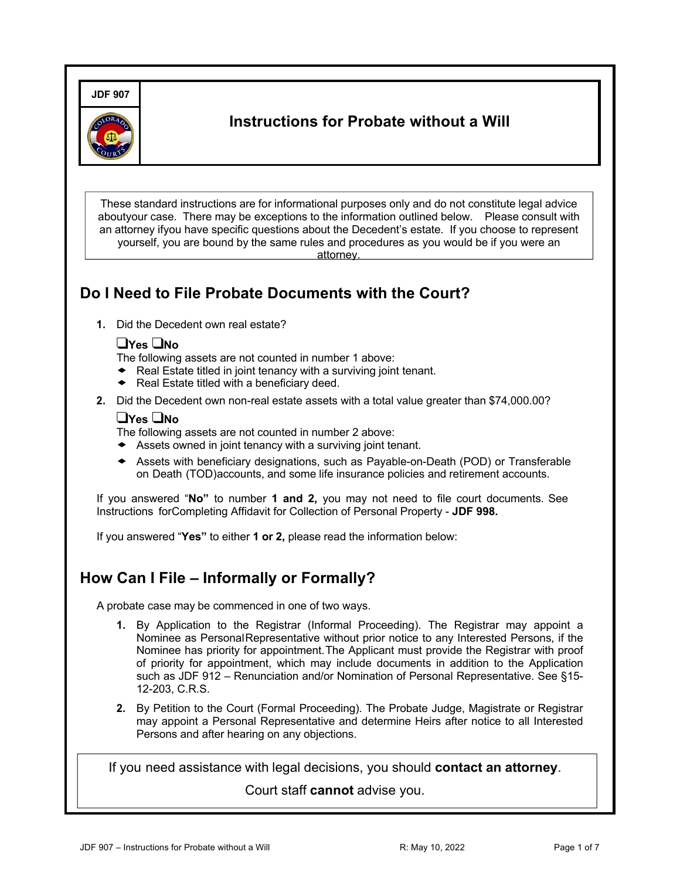**JDF 907**



# **Instructions for Probate without a Will**

These standard instructions are for informational purposes only and do not constitute legal advice aboutyour case. There may be exceptions to the information outlined below. Please consult with an attorney ifyou have specific questions about the Decedent's estate. If you choose to represent yourself, you are bound by the same rules and procedures as you would be if you were an attorney.

# **Do I Need to File Probate Documents with the Court?**

**1.** Did the Decedent own real estate?

#### !**Yes** !**No**

The following assets are not counted in number 1 above:

- $\bullet$  Real Estate titled in joint tenancy with a surviving joint tenant.<br>  $\bullet$  Real Estate titled with a beneficiary deed
- Real Estate titled with a beneficiary deed.
- **2.** Did the Decedent own non-real estate assets with a total value greater than \$74,000.00?

#### !**Yes** !**No**

The following assets are not counted in number 2 above:

- $\triangleleft$  Assets owned in joint tenancy with a surviving joint tenant.
- ! Assets with beneficiary designations, such as Payable-on-Death (POD) or Transferable on Death (TOD)accounts, and some life insurance policies and retirement accounts.

If you answered "**No"** to number **1 and 2,** you may not need to file court documents. See Instructions forCompleting Affidavit for Collection of Personal Property - **JDF 998.**

If you answered "**Yes"** to either **1 or 2,** please read the information below:

#### **How Can I File – Informally or Formally?**

A probate case may be commenced in one of two ways.

- **1.** By Application to the Registrar (Informal Proceeding). The Registrar may appoint a Nominee as PersonalRepresentative without prior notice to any Interested Persons, if the Nominee has priority for appointment.The Applicant must provide the Registrar with proof of priority for appointment, which may include documents in addition to the Application such as JDF 912 – Renunciation and/or Nomination of Personal Representative. See §15- 12-203, C.R.S.
- **2.** By Petition to the Court (Formal Proceeding). The Probate Judge, Magistrate or Registrar may appoint a Personal Representative and determine Heirs after notice to all Interested Persons and after hearing on any objections.

If you need assistance with legal decisions, you should **contact an attorney**.

Court staff **cannot** advise you.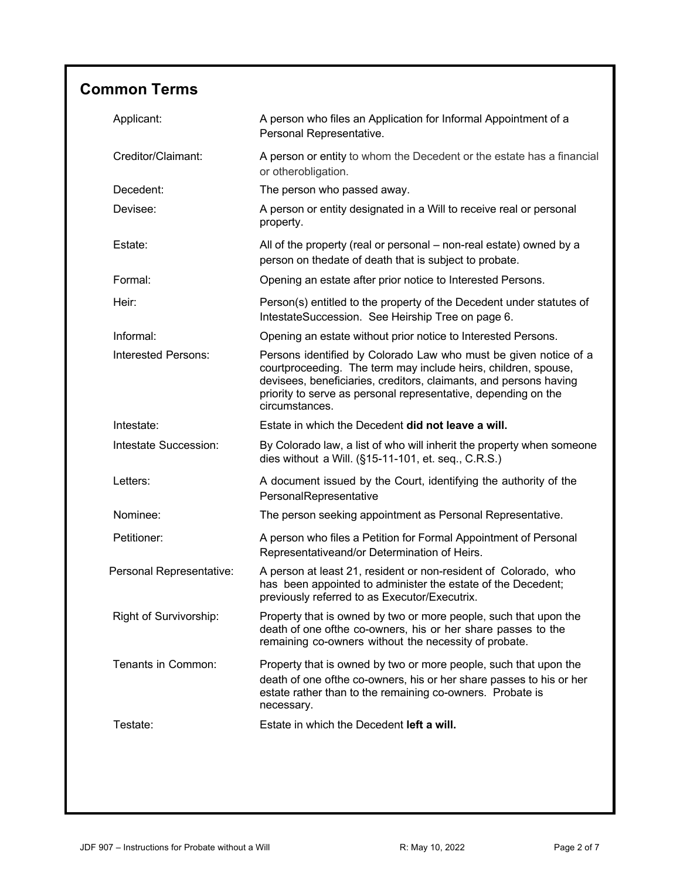# **Common Terms**

| Applicant:               | A person who files an Application for Informal Appointment of a<br>Personal Representative.                                                                                                                                                                                                 |
|--------------------------|---------------------------------------------------------------------------------------------------------------------------------------------------------------------------------------------------------------------------------------------------------------------------------------------|
| Creditor/Claimant:       | A person or entity to whom the Decedent or the estate has a financial<br>or otherobligation.                                                                                                                                                                                                |
| Decedent:                | The person who passed away.                                                                                                                                                                                                                                                                 |
| Devisee:                 | A person or entity designated in a Will to receive real or personal<br>property.                                                                                                                                                                                                            |
| Estate:                  | All of the property (real or personal – non-real estate) owned by a<br>person on thedate of death that is subject to probate.                                                                                                                                                               |
| Formal:                  | Opening an estate after prior notice to Interested Persons.                                                                                                                                                                                                                                 |
| Heir:                    | Person(s) entitled to the property of the Decedent under statutes of<br>IntestateSuccession. See Heirship Tree on page 6.                                                                                                                                                                   |
| Informal:                | Opening an estate without prior notice to Interested Persons.                                                                                                                                                                                                                               |
| Interested Persons:      | Persons identified by Colorado Law who must be given notice of a<br>courtproceeding. The term may include heirs, children, spouse,<br>devisees, beneficiaries, creditors, claimants, and persons having<br>priority to serve as personal representative, depending on the<br>circumstances. |
| Intestate:               | Estate in which the Decedent did not leave a will.                                                                                                                                                                                                                                          |
| Intestate Succession:    | By Colorado law, a list of who will inherit the property when someone<br>dies without a Will. (§15-11-101, et. seq., C.R.S.)                                                                                                                                                                |
| Letters:                 | A document issued by the Court, identifying the authority of the<br>PersonalRepresentative                                                                                                                                                                                                  |
| Nominee:                 | The person seeking appointment as Personal Representative.                                                                                                                                                                                                                                  |
| Petitioner:              | A person who files a Petition for Formal Appointment of Personal<br>Representativeand/or Determination of Heirs.                                                                                                                                                                            |
| Personal Representative: | A person at least 21, resident or non-resident of Colorado, who<br>has been appointed to administer the estate of the Decedent;<br>previously referred to as Executor/Executrix.                                                                                                            |
| Right of Survivorship:   | Property that is owned by two or more people, such that upon the<br>death of one ofthe co-owners, his or her share passes to the<br>remaining co-owners without the necessity of probate.                                                                                                   |
| Tenants in Common:       | Property that is owned by two or more people, such that upon the<br>death of one ofthe co-owners, his or her share passes to his or her<br>estate rather than to the remaining co-owners. Probate is<br>necessary.                                                                          |
| Testate:                 | Estate in which the Decedent left a will.                                                                                                                                                                                                                                                   |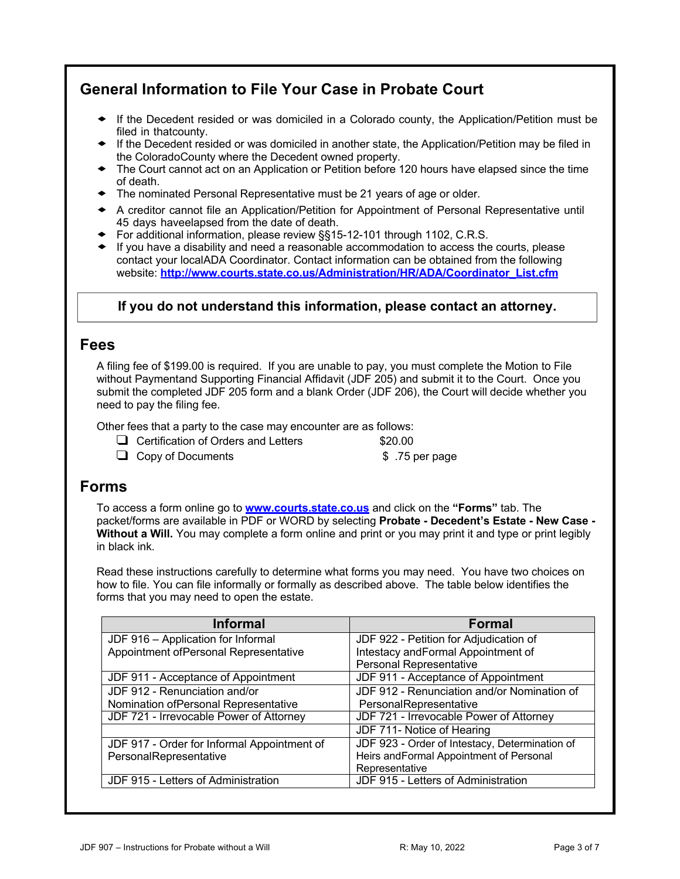# **General Information to File Your Case in Probate Court**

- ! If the Decedent resided or was domiciled in <sup>a</sup> Colorado county, the Application/Petition must be filed in thatcounty.
- ! If the Decedent resided or was domiciled in another state, the Application/Petition may be filed in the ColoradoCounty where the Decedent owned property.
- The Court cannot act on an Application or Petition before 120 hours have elapsed since the time of death.
- ! The nominated Personal Representative must be <sup>21</sup> years of age or older.
- ! <sup>A</sup> creditor cannot file an Application/Petition for Appointment of Personal Representative until 45 days haveelapsed from the date of death.
- ◆ For additional information, please review §§15-12-101 through 1102, C.R.S.
- $\bullet$  If you have a disability and need a reasonable accommodation to access the courts, please contact your localADA Coordinator. Contact information can be obtained from the following website: **http://www.courts.state.co.us/Administration/HR/ADA/Coordinator\_List.cfm**

#### **If you do not understand this information, please contact an attorney.**

#### **Fees**

A filing fee of \$199.00 is required. If you are unable to pay, you must complete the Motion to File without Paymentand Supporting Financial Affidavit (JDF 205) and submit it to the Court. Once you submit the completed JDF 205 form and a blank Order (JDF 206), the Court will decide whether you need to pay the filing fee.

Other fees that a party to the case may encounter are as follows:

 $\Box$  Certification of Orders and Letters  $$20.00$ 

□ Copy of Documents \$ .75 per page

### **Forms**

To access a form online go to **www.courts.state.co.us** and click on the **"Forms"** tab. The packet/forms are available in PDF or WORD by selecting **Probate - Decedent's Estate - New Case - Without a Will.** You may complete a form online and print or you may print it and type or print legibly in black ink.

Read these instructions carefully to determine what forms you may need. You have two choices on how to file. You can file informally or formally as described above. The table below identifies the forms that you may need to open the estate.

| <b>Informal</b>                             | Formal                                         |  |  |
|---------------------------------------------|------------------------------------------------|--|--|
| JDF 916 - Application for Informal          | JDF 922 - Petition for Adjudication of         |  |  |
| Appointment ofPersonal Representative       | Intestacy and Formal Appointment of            |  |  |
|                                             | Personal Representative                        |  |  |
| JDF 911 - Acceptance of Appointment         | JDF 911 - Acceptance of Appointment            |  |  |
| JDF 912 - Renunciation and/or               | JDF 912 - Renunciation and/or Nomination of    |  |  |
| Nomination ofPersonal Representative        | PersonalRepresentative                         |  |  |
| JDF 721 - Irrevocable Power of Attorney     | JDF 721 - Irrevocable Power of Attorney        |  |  |
|                                             | JDF 711- Notice of Hearing                     |  |  |
| JDF 917 - Order for Informal Appointment of | JDF 923 - Order of Intestacy, Determination of |  |  |
| PersonalRepresentative                      | Heirs and Formal Appointment of Personal       |  |  |
|                                             | Representative                                 |  |  |
| JDF 915 - Letters of Administration         | JDF 915 - Letters of Administration            |  |  |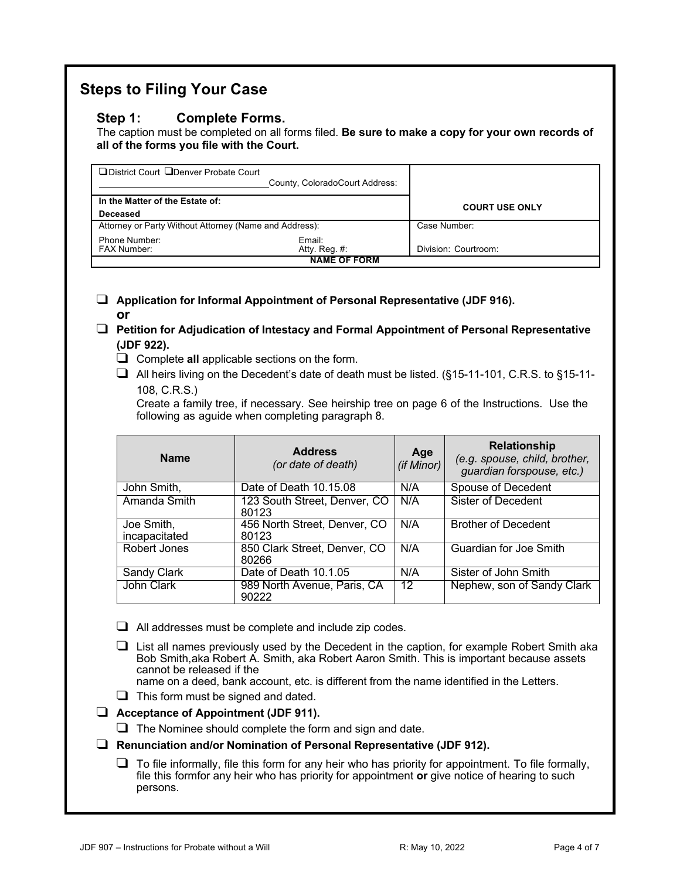### **Steps to Filing Your Case**

#### **Step 1: Complete Forms.**

The caption must be completed on all forms filed. **Be sure to make a copy for your own records of all of the forms you file with the Court.**

| □ District Court □ Denver Probate Court<br>County, ColoradoCourt Address: |                     |                       |
|---------------------------------------------------------------------------|---------------------|-----------------------|
| In the Matter of the Estate of:                                           |                     | <b>COURT USE ONLY</b> |
| Deceased                                                                  |                     |                       |
| Attorney or Party Without Attorney (Name and Address):                    |                     | Case Number:          |
| Phone Number:                                                             | Email:              |                       |
| <b>FAX Number:</b>                                                        | Atty. Reg. #:       | Division: Courtroom:  |
|                                                                           | <b>NAME OF FORM</b> |                       |

! **Application for Informal Appointment of Personal Representative (JDF 916). or**

- ! **Petition for Adjudication of Intestacy and Formal Appointment of Personal Representative (JDF 922).**
	- □ Complete all applicable sections on the form.
	- $\Box$  All heirs living on the Decedent's date of death must be listed. (§15-11-101, C.R.S. to §15-11-108, C.R.S.)

Create a family tree, if necessary. See heirship tree on page 6 of the Instructions. Use the following as aguide when completing paragraph 8.

| <b>Name</b>                 | <b>Address</b><br>(or date of death)  | Age<br>(if Minor) | <b>Relationship</b><br>(e.g. spouse, child, brother,<br>guardian forspouse, etc.) |
|-----------------------------|---------------------------------------|-------------------|-----------------------------------------------------------------------------------|
| John Smith,                 | Date of Death 10.15.08                | N/A               | Spouse of Decedent                                                                |
| Amanda Smith                | 123 South Street, Denver, CO<br>80123 | N/A               | Sister of Decedent                                                                |
| Joe Smith,<br>incapacitated | 456 North Street, Denver, CO<br>80123 | N/A               | <b>Brother of Decedent</b>                                                        |
| Robert Jones                | 850 Clark Street, Denver, CO<br>80266 | N/A               | Guardian for Joe Smith                                                            |
| Sandy Clark                 | Date of Death 10.1.05                 | N/A               | Sister of John Smith                                                              |
| John Clark                  | 989 North Avenue, Paris, CA<br>90222  | 12                | Nephew, son of Sandy Clark                                                        |

 $\Box$  All addresses must be complete and include zip codes.

 $\Box$  List all names previously used by the Decedent in the caption, for example Robert Smith aka Bob Smith,aka Robert A. Smith, aka Robert Aaron Smith. This is important because assets cannot be released if the

name on a deed, bank account, etc. is different from the name identified in the Letters.

 $\Box$  This form must be signed and dated.

! **Acceptance of Appointment (JDF 911).**

 $\Box$  The Nominee should complete the form and sign and date.

! **Renunciation and/or Nomination of Personal Representative (JDF 912).**

 $\Box$  To file informally, file this form for any heir who has priority for appointment. To file formally, file this formfor any heir who has priority for appointment **or** give notice of hearing to such persons.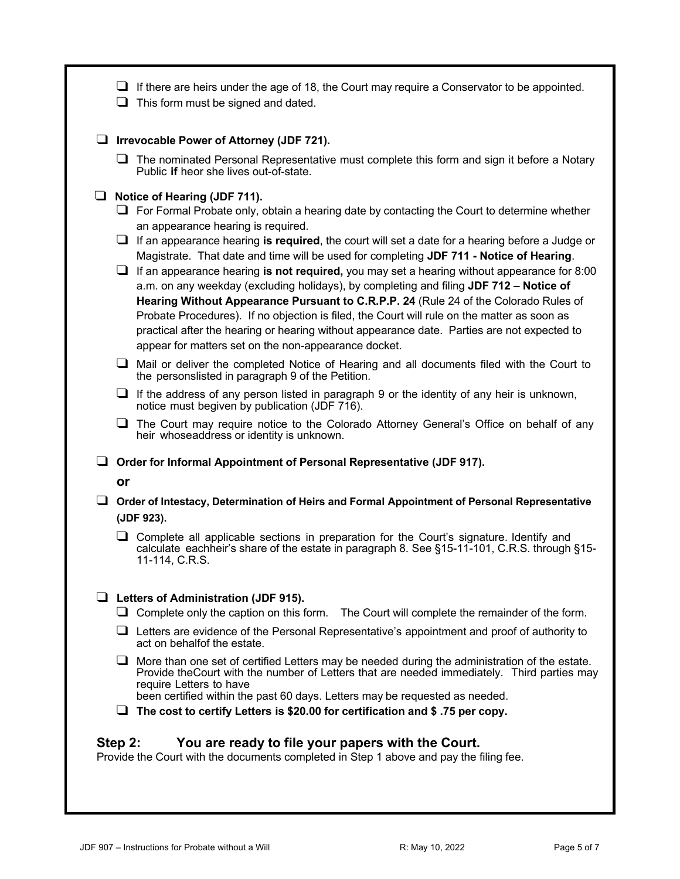| ⊔                     | $\Box$ If there are heirs under the age of 18, the Court may require a Conservator to be appointed.<br>This form must be signed and dated.                                                                                                                                                                                                                                                                                                                                                                                                                                                                                                                                                                                                                                                                                                                                                                                                                                                                                                                                                                                                                                                                                                                                                                       |
|-----------------------|------------------------------------------------------------------------------------------------------------------------------------------------------------------------------------------------------------------------------------------------------------------------------------------------------------------------------------------------------------------------------------------------------------------------------------------------------------------------------------------------------------------------------------------------------------------------------------------------------------------------------------------------------------------------------------------------------------------------------------------------------------------------------------------------------------------------------------------------------------------------------------------------------------------------------------------------------------------------------------------------------------------------------------------------------------------------------------------------------------------------------------------------------------------------------------------------------------------------------------------------------------------------------------------------------------------|
|                       | $\Box$ Irrevocable Power of Attorney (JDF 721).                                                                                                                                                                                                                                                                                                                                                                                                                                                                                                                                                                                                                                                                                                                                                                                                                                                                                                                                                                                                                                                                                                                                                                                                                                                                  |
|                       | $\Box$ The nominated Personal Representative must complete this form and sign it before a Notary<br>Public if heor she lives out-of-state.                                                                                                                                                                                                                                                                                                                                                                                                                                                                                                                                                                                                                                                                                                                                                                                                                                                                                                                                                                                                                                                                                                                                                                       |
| ⊔<br>⊔<br>❏<br>⊔<br>⊔ | Notice of Hearing (JDF 711).<br>$\Box$ For Formal Probate only, obtain a hearing date by contacting the Court to determine whether<br>an appearance hearing is required.<br>If an appearance hearing is required, the court will set a date for a hearing before a Judge or<br>Magistrate. That date and time will be used for completing JDF 711 - Notice of Hearing.<br>If an appearance hearing is not required, you may set a hearing without appearance for 8:00<br>a.m. on any weekday (excluding holidays), by completing and filing JDF 712 - Notice of<br>Hearing Without Appearance Pursuant to C.R.P.P. 24 (Rule 24 of the Colorado Rules of<br>Probate Procedures). If no objection is filed, the Court will rule on the matter as soon as<br>practical after the hearing or hearing without appearance date. Parties are not expected to<br>appear for matters set on the non-appearance docket.<br>Mail or deliver the completed Notice of Hearing and all documents filed with the Court to<br>the personslisted in paragraph 9 of the Petition.<br>$\Box$ If the address of any person listed in paragraph 9 or the identity of any heir is unknown,<br>notice must begiven by publication (JDF 716).<br>The Court may require notice to the Colorado Attorney General's Office on behalf of any |
|                       | heir whoseaddress or identity is unknown.                                                                                                                                                                                                                                                                                                                                                                                                                                                                                                                                                                                                                                                                                                                                                                                                                                                                                                                                                                                                                                                                                                                                                                                                                                                                        |
|                       | $\Box$ Order for Informal Appointment of Personal Representative (JDF 917).                                                                                                                                                                                                                                                                                                                                                                                                                                                                                                                                                                                                                                                                                                                                                                                                                                                                                                                                                                                                                                                                                                                                                                                                                                      |
| or                    | Order of Intestacy, Determination of Heirs and Formal Appointment of Personal Representative<br>(JDF 923).                                                                                                                                                                                                                                                                                                                                                                                                                                                                                                                                                                                                                                                                                                                                                                                                                                                                                                                                                                                                                                                                                                                                                                                                       |
|                       | $\Box$ Complete all applicable sections in preparation for the Court's signature. Identify and<br>calculate eachheir's share of the estate in paragraph 8. See §15-11-101, C.R.S. through §15-<br>11-114, C.R.S.                                                                                                                                                                                                                                                                                                                                                                                                                                                                                                                                                                                                                                                                                                                                                                                                                                                                                                                                                                                                                                                                                                 |
|                       | $\Box$ Letters of Administration (JDF 915).<br>$\Box$ Complete only the caption on this form. The Court will complete the remainder of the form.<br>$\Box$ Letters are evidence of the Personal Representative's appointment and proof of authority to<br>act on behalfof the estate.<br>$\Box$ More than one set of certified Letters may be needed during the administration of the estate.<br>Provide the Court with the number of Letters that are needed immediately. Third parties may<br>require Letters to have<br>been certified within the past 60 days. Letters may be requested as needed.<br>$\Box$ The cost to certify Letters is \$20.00 for certification and \$.75 per copy.                                                                                                                                                                                                                                                                                                                                                                                                                                                                                                                                                                                                                    |
| Step 2:               | You are ready to file your papers with the Court.<br>Provide the Court with the documents completed in Step 1 above and pay the filing fee.                                                                                                                                                                                                                                                                                                                                                                                                                                                                                                                                                                                                                                                                                                                                                                                                                                                                                                                                                                                                                                                                                                                                                                      |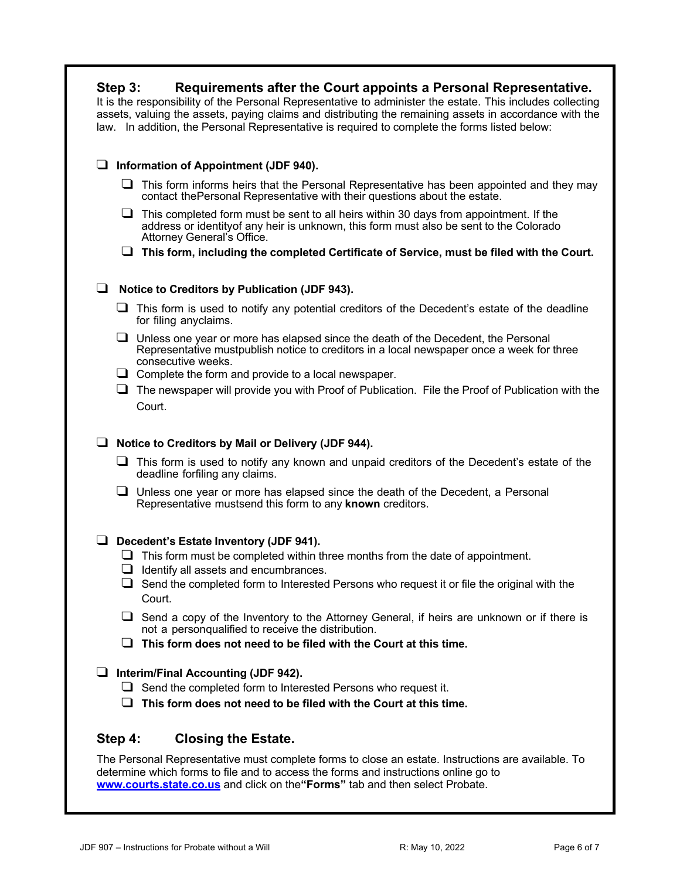| Requirements after the Court appoints a Personal Representative.<br>Step 3:<br>It is the responsibility of the Personal Representative to administer the estate. This includes collecting<br>assets, valuing the assets, paying claims and distributing the remaining assets in accordance with the<br>law. In addition, the Personal Representative is required to complete the forms listed below: |
|------------------------------------------------------------------------------------------------------------------------------------------------------------------------------------------------------------------------------------------------------------------------------------------------------------------------------------------------------------------------------------------------------|
| Information of Appointment (JDF 940).<br>⊔                                                                                                                                                                                                                                                                                                                                                           |
| $\Box$ This form informs heirs that the Personal Representative has been appointed and they may<br>contact the Personal Representative with their questions about the estate.                                                                                                                                                                                                                        |
| $\Box$ This completed form must be sent to all heirs within 30 days from appointment. If the<br>address or identity of any heir is unknown, this form must also be sent to the Colorado<br>Attorney General's Office.                                                                                                                                                                                |
| $\Box$ This form, including the completed Certificate of Service, must be filed with the Court.                                                                                                                                                                                                                                                                                                      |
| ப<br>Notice to Creditors by Publication (JDF 943).                                                                                                                                                                                                                                                                                                                                                   |
| This form is used to notify any potential creditors of the Decedent's estate of the deadline<br>⊔<br>for filing anyclaims.                                                                                                                                                                                                                                                                           |
| $\Box$ Unless one year or more has elapsed since the death of the Decedent, the Personal<br>Representative mustpublish notice to creditors in a local newspaper once a week for three<br>consecutive weeks.                                                                                                                                                                                          |
| $\Box$ Complete the form and provide to a local newspaper.                                                                                                                                                                                                                                                                                                                                           |
| The newspaper will provide you with Proof of Publication. File the Proof of Publication with the<br>⊔<br>Court.                                                                                                                                                                                                                                                                                      |
| Notice to Creditors by Mail or Delivery (JDF 944).<br>⊔                                                                                                                                                                                                                                                                                                                                              |
| $\Box$ This form is used to notify any known and unpaid creditors of the Decedent's estate of the<br>deadline forfiling any claims.                                                                                                                                                                                                                                                                  |
| $\Box$ Unless one year or more has elapsed since the death of the Decedent, a Personal<br>Representative mustsend this form to any known creditors.                                                                                                                                                                                                                                                  |
| Decedent's Estate Inventory (JDF 941).                                                                                                                                                                                                                                                                                                                                                               |
| $\Box$ This form must be completed within three months from the date of appointment.                                                                                                                                                                                                                                                                                                                 |
| $\Box$ Identify all assets and encumbrances.<br>$\Box$ Send the completed form to Interested Persons who request it or file the original with the<br>Court.                                                                                                                                                                                                                                          |
| $\Box$ Send a copy of the Inventory to the Attorney General, if heirs are unknown or if there is<br>not a personqualified to receive the distribution.                                                                                                                                                                                                                                               |
| $\Box$ This form does not need to be filed with the Court at this time.                                                                                                                                                                                                                                                                                                                              |
| Interim/Final Accounting (JDF 942).<br>⊔                                                                                                                                                                                                                                                                                                                                                             |
| $\Box$ Send the completed form to Interested Persons who request it.                                                                                                                                                                                                                                                                                                                                 |
| This form does not need to be filed with the Court at this time.                                                                                                                                                                                                                                                                                                                                     |
| Step 4:<br><b>Closing the Estate.</b>                                                                                                                                                                                                                                                                                                                                                                |

The Personal Representative must complete forms to close an estate. Instructions are available. To determine which forms to file and to access the forms and instructions online go to **www.courts.state.co.us** and click on the**"Forms"** tab and then select Probate.